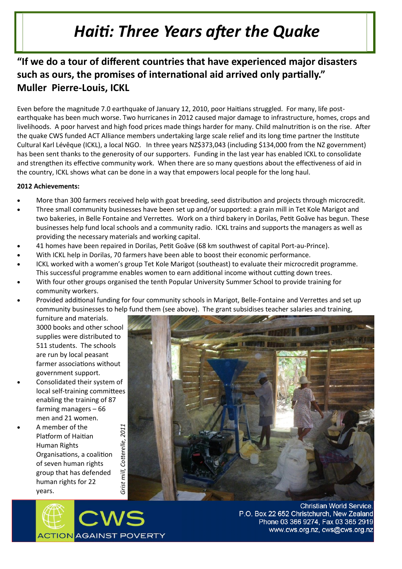## *Haiti: Three Years after the Quake*

## **"If we do a tour of different countries that have experienced major disasters such as ours, the promises of international aid arrived only partially." Muller Pierre-Louis, ICKL**

Even before the magnitude 7.0 earthquake of January 12, 2010, poor Haitians struggled. For many, life postearthquake has been much worse. Two hurricanes in 2012 caused major damage to infrastructure, homes, crops and livelihoods. A poor harvest and high food prices made things harder for many. Child malnutrition is on the rise. After the quake CWS funded ACT Alliance members undertaking large scale relief and its long time partner the Institute Cultural Karl Lévêque (ICKL), a local NGO. In three years NZ\$373,043 (including \$134,000 from the NZ government) has been sent thanks to the generosity of our supporters. Funding in the last year has enabled ICKL to consolidate and strengthen its effective community work. When there are so many questions about the effectiveness of aid in the country, ICKL shows what can be done in a way that empowers local people for the long haul.

## **2012 Achievements:**

- More than 300 farmers received help with goat breeding, seed distribution and projects through microcredit.
- Three small community businesses have been set up and/or supported: a grain mill in Tet Kole Marigot and two bakeries, in Belle Fontaine and Verrettes. Work on a third bakery in Dorilas, Petit Goăve has begun. These businesses help fund local schools and a community radio. ICKL trains and supports the managers as well as providing the necessary materials and working capital.
- 41 homes have been repaired in Dorilas, Petit Goăve (68 km southwest of capital Port-au-Prince).
- With ICKL help in Dorilas, 70 farmers have been able to boost their economic performance.
- ICKL worked with a women's group Tet Kole Marigot (southeast) to evaluate their microcredit programme. This successful programme enables women to earn additional income without cutting down trees.
- With four other groups organised the tenth Popular University Summer School to provide training for community workers.
- Provided additional funding for four community schools in Marigot, Belle-Fontaine and Verrettes and set up community businesses to help fund them (see above). The grant subsidises teacher salaries and training,

furniture and materials. 3000 books and other school supplies were distributed to 511 students. The schools are run by local peasant farmer associations without government support.

- Consolidated their system of local self-training committees enabling the training of 87 farming managers – 66 men and 21 women.
- A member of the Platform of Haitian Human Rights Organisations, a coalition of seven human rights group that has defended human rights for 22 years.





**Christian World Service.** P.O. Box 22 652 Christchurch, New Zealand Phone 03 366 9274, Fax 03 365 2919 www.cws.org.nz, cws@cws.org.nz